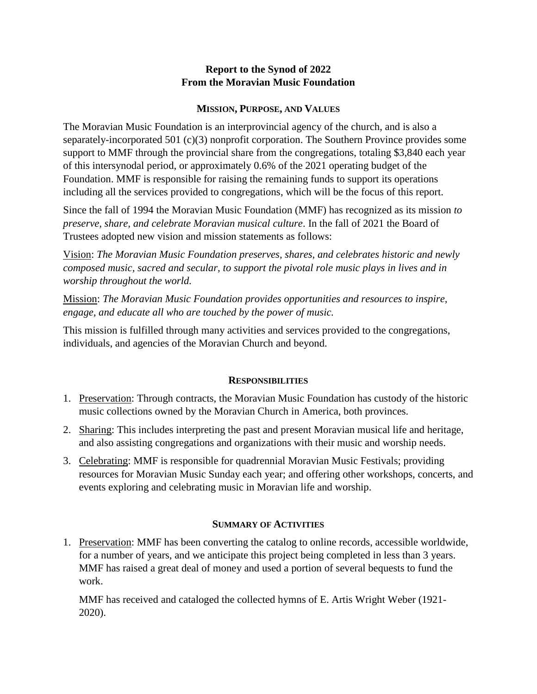# **Report to the Synod of 2022 From the Moravian Music Foundation**

### **MISSION, PURPOSE, AND VALUES**

The Moravian Music Foundation is an interprovincial agency of the church, and is also a separately-incorporated 501 (c)(3) nonprofit corporation. The Southern Province provides some support to MMF through the provincial share from the congregations, totaling \$3,840 each year of this intersynodal period, or approximately 0.6% of the 2021 operating budget of the Foundation. MMF is responsible for raising the remaining funds to support its operations including all the services provided to congregations, which will be the focus of this report.

Since the fall of 1994 the Moravian Music Foundation (MMF) has recognized as its mission *to preserve, share, and celebrate Moravian musical culture*. In the fall of 2021 the Board of Trustees adopted new vision and mission statements as follows:

Vision: *The Moravian Music Foundation preserves, shares, and celebrates historic and newly composed music, sacred and secular, to support the pivotal role music plays in lives and in worship throughout the world.*

Mission: *The Moravian Music Foundation provides opportunities and resources to inspire, engage, and educate all who are touched by the power of music.*

This mission is fulfilled through many activities and services provided to the congregations, individuals, and agencies of the Moravian Church and beyond.

# **RESPONSIBILITIES**

- 1. Preservation: Through contracts, the Moravian Music Foundation has custody of the historic music collections owned by the Moravian Church in America, both provinces.
- 2. Sharing: This includes interpreting the past and present Moravian musical life and heritage, and also assisting congregations and organizations with their music and worship needs.
- 3. Celebrating: MMF is responsible for quadrennial Moravian Music Festivals; providing resources for Moravian Music Sunday each year; and offering other workshops, concerts, and events exploring and celebrating music in Moravian life and worship.

### **SUMMARY OF ACTIVITIES**

1. Preservation: MMF has been converting the catalog to online records, accessible worldwide, for a number of years, and we anticipate this project being completed in less than 3 years. MMF has raised a great deal of money and used a portion of several bequests to fund the work.

MMF has received and cataloged the collected hymns of E. Artis Wright Weber (1921- 2020).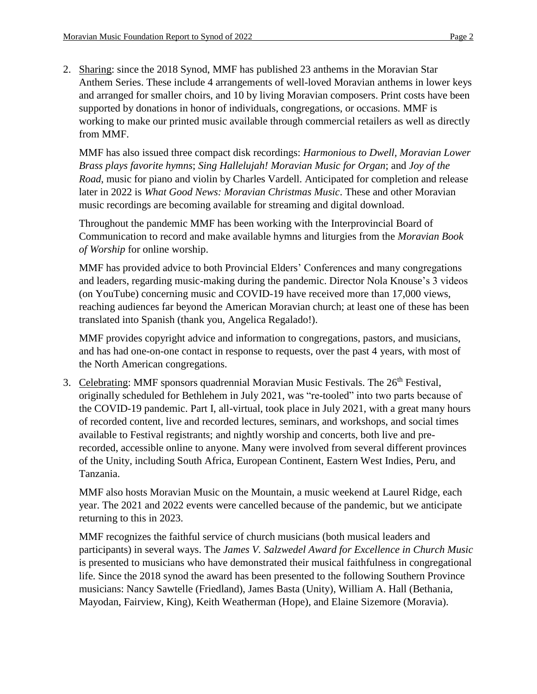2. Sharing: since the 2018 Synod, MMF has published 23 anthems in the Moravian Star Anthem Series. These include 4 arrangements of well-loved Moravian anthems in lower keys and arranged for smaller choirs, and 10 by living Moravian composers. Print costs have been supported by donations in honor of individuals, congregations, or occasions. MMF is working to make our printed music available through commercial retailers as well as directly from MMF.

MMF has also issued three compact disk recordings: *Harmonious to Dwell, Moravian Lower Brass plays favorite hymns*; *Sing Hallelujah! Moravian Music for Organ*; and *Joy of the Road*, music for piano and violin by Charles Vardell. Anticipated for completion and release later in 2022 is *What Good News: Moravian Christmas Music*. These and other Moravian music recordings are becoming available for streaming and digital download.

Throughout the pandemic MMF has been working with the Interprovincial Board of Communication to record and make available hymns and liturgies from the *Moravian Book of Worship* for online worship.

MMF has provided advice to both Provincial Elders' Conferences and many congregations and leaders, regarding music-making during the pandemic. Director Nola Knouse's 3 videos (on YouTube) concerning music and COVID-19 have received more than 17,000 views, reaching audiences far beyond the American Moravian church; at least one of these has been translated into Spanish (thank you, Angelica Regalado!).

MMF provides copyright advice and information to congregations, pastors, and musicians, and has had one-on-one contact in response to requests, over the past 4 years, with most of the North American congregations.

3. Celebrating: MMF sponsors quadrennial Moravian Music Festivals. The 26<sup>th</sup> Festival, originally scheduled for Bethlehem in July 2021, was "re-tooled" into two parts because of the COVID-19 pandemic. Part I, all-virtual, took place in July 2021, with a great many hours of recorded content, live and recorded lectures, seminars, and workshops, and social times available to Festival registrants; and nightly worship and concerts, both live and prerecorded, accessible online to anyone. Many were involved from several different provinces of the Unity, including South Africa, European Continent, Eastern West Indies, Peru, and Tanzania.

MMF also hosts Moravian Music on the Mountain, a music weekend at Laurel Ridge, each year. The 2021 and 2022 events were cancelled because of the pandemic, but we anticipate returning to this in 2023.

MMF recognizes the faithful service of church musicians (both musical leaders and participants) in several ways. The *James V. Salzwedel Award for Excellence in Church Music* is presented to musicians who have demonstrated their musical faithfulness in congregational life. Since the 2018 synod the award has been presented to the following Southern Province musicians: Nancy Sawtelle (Friedland), James Basta (Unity), William A. Hall (Bethania, Mayodan, Fairview, King), Keith Weatherman (Hope), and Elaine Sizemore (Moravia).